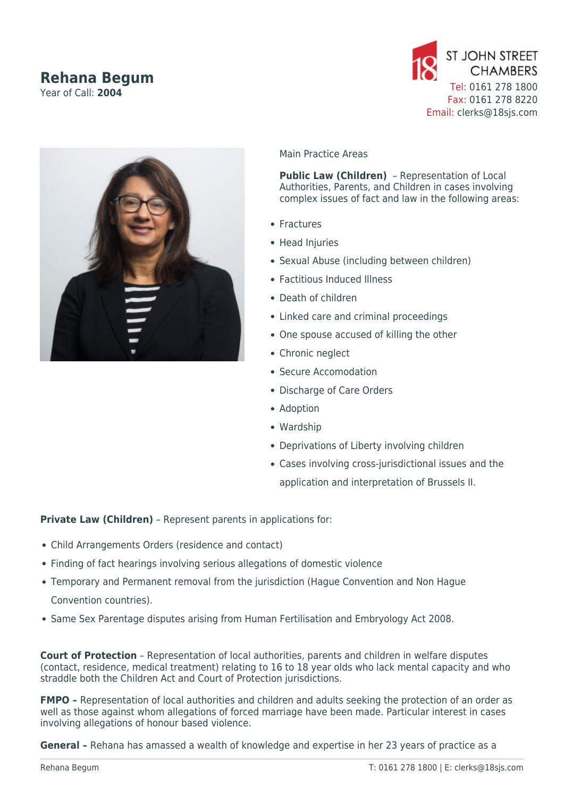# **Rehana Begum**

Year of Call: **2004**





## Main Practice Areas

**Public Law (Children)** – Representation of Local Authorities, Parents, and Children in cases involving complex issues of fact and law in the following areas:

- Fractures
- Head Injuries
- Sexual Abuse (including between children)
- Factitious Induced Illness
- Death of children
- Linked care and criminal proceedings
- One spouse accused of killing the other
- Chronic neglect
- Secure Accomodation
- Discharge of Care Orders
- Adoption
- Wardship
- Deprivations of Liberty involving children
- Cases involving cross-jurisdictional issues and the application and interpretation of Brussels II.

**Private Law (Children)** – Represent parents in applications for:

- Child Arrangements Orders (residence and contact)
- Finding of fact hearings involving serious allegations of domestic violence
- Temporary and Permanent removal from the jurisdiction (Hague Convention and Non Hague Convention countries).
- Same Sex Parentage disputes arising from Human Fertilisation and Embryology Act 2008.

**Court of Protection** – Representation of local authorities, parents and children in welfare disputes (contact, residence, medical treatment) relating to 16 to 18 year olds who lack mental capacity and who straddle both the Children Act and Court of Protection jurisdictions.

**FMPO** - Representation of local authorities and children and adults seeking the protection of an order as well as those against whom allegations of forced marriage have been made. Particular interest in cases involving allegations of honour based violence.

**General –** Rehana has amassed a wealth of knowledge and expertise in her 23 years of practice as a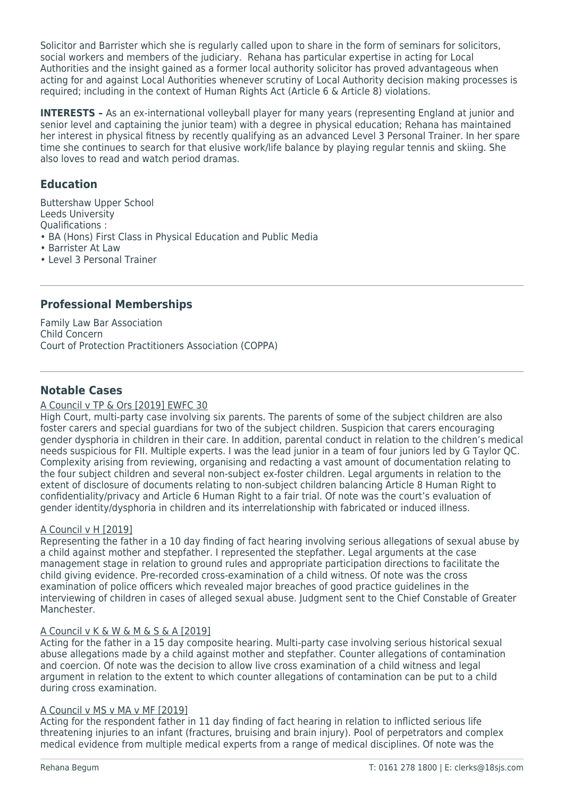Solicitor and Barrister which she is regularly called upon to share in the form of seminars for solicitors, social workers and members of the judiciary. Rehana has particular expertise in acting for Local Authorities and the insight gained as a former local authority solicitor has proved advantageous when acting for and against Local Authorities whenever scrutiny of Local Authority decision making processes is required; including in the context of Human Rights Act (Article 6 & Article 8) violations.

**INTERESTS –** As an ex-international volleyball player for many years (representing England at junior and senior level and captaining the junior team) with a degree in physical education; Rehana has maintained her interest in physical fitness by recently qualifying as an advanced Level 3 Personal Trainer. In her spare time she continues to search for that elusive work/life balance by playing regular tennis and skiing. She also loves to read and watch period dramas.

# **Education**

Buttershaw Upper School Leeds University Qualifications : • BA (Hons) First Class in Physical Education and Public Media • Barrister At Law

• Level 3 Personal Trainer

# **Professional Memberships**

Family Law Bar Association Child Concern Court of Protection Practitioners Association (COPPA)

# **Notable Cases**

## A Council v TP & Ors [2019] EWFC 30

High Court, multi-party case involving six parents. The parents of some of the subject children are also foster carers and special guardians for two of the subject children. Suspicion that carers encouraging gender dysphoria in children in their care. In addition, parental conduct in relation to the children's medical needs suspicious for FII. Multiple experts. I was the lead junior in a team of four juniors led by G Taylor QC. Complexity arising from reviewing, organising and redacting a vast amount of documentation relating to the four subject children and several non-subject ex-foster children. Legal arguments in relation to the extent of disclosure of documents relating to non-subject children balancing Article 8 Human Right to confidentiality/privacy and Article 6 Human Right to a fair trial. Of note was the court's evaluation of gender identity/dysphoria in children and its interrelationship with fabricated or induced illness.

# A Council v H [2019]

Representing the father in a 10 day finding of fact hearing involving serious allegations of sexual abuse by a child against mother and stepfather. I represented the stepfather. Legal arguments at the case management stage in relation to ground rules and appropriate participation directions to facilitate the child giving evidence. Pre-recorded cross-examination of a child witness. Of note was the cross examination of police officers which revealed major breaches of good practice guidelines in the interviewing of children in cases of alleged sexual abuse. Judgment sent to the Chief Constable of Greater Manchester.

## A Council v K & W & M & S & A [2019]

Acting for the father in a 15 day composite hearing. Multi-party case involving serious historical sexual abuse allegations made by a child against mother and stepfather. Counter allegations of contamination and coercion. Of note was the decision to allow live cross examination of a child witness and legal argument in relation to the extent to which counter allegations of contamination can be put to a child during cross examination.

## A Council v MS v MA v MF [2019]

Acting for the respondent father in 11 day finding of fact hearing in relation to inflicted serious life threatening injuries to an infant (fractures, bruising and brain injury). Pool of perpetrators and complex medical evidence from multiple medical experts from a range of medical disciplines. Of note was the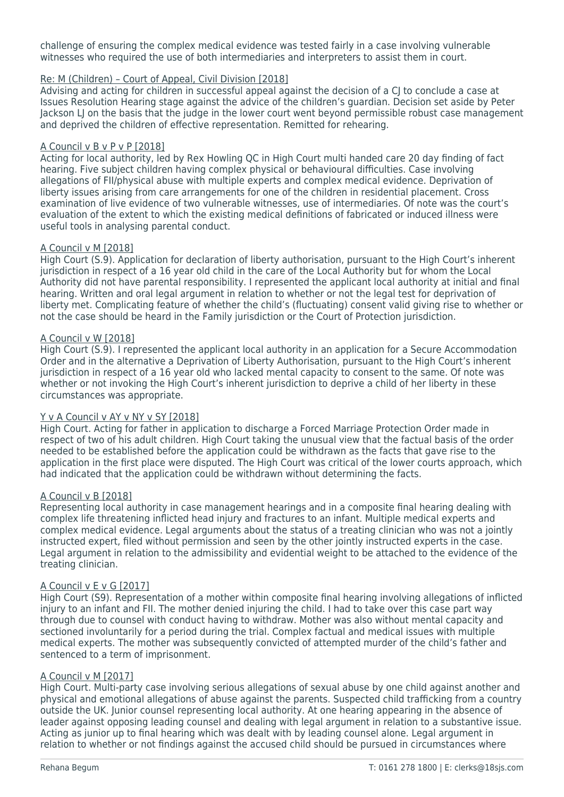challenge of ensuring the complex medical evidence was tested fairly in a case involving vulnerable witnesses who required the use of both intermediaries and interpreters to assist them in court.

#### Re: M (Children) – Court of Appeal, Civil Division [2018]

Advising and acting for children in successful appeal against the decision of a CJ to conclude a case at Issues Resolution Hearing stage against the advice of the children's guardian. Decision set aside by Peter Jackson LJ on the basis that the judge in the lower court went beyond permissible robust case management and deprived the children of effective representation. Remitted for rehearing.

#### A Council v B v P v P [2018]

Acting for local authority, led by Rex Howling QC in High Court multi handed care 20 day finding of fact hearing. Five subject children having complex physical or behavioural difficulties. Case involving allegations of FII/physical abuse with multiple experts and complex medical evidence. Deprivation of liberty issues arising from care arrangements for one of the children in residential placement. Cross examination of live evidence of two vulnerable witnesses, use of intermediaries. Of note was the court's evaluation of the extent to which the existing medical definitions of fabricated or induced illness were useful tools in analysing parental conduct.

#### A Council v M [2018]

High Court (S.9). Application for declaration of liberty authorisation, pursuant to the High Court's inherent jurisdiction in respect of a 16 year old child in the care of the Local Authority but for whom the Local Authority did not have parental responsibility. I represented the applicant local authority at initial and final hearing. Written and oral legal argument in relation to whether or not the legal test for deprivation of liberty met. Complicating feature of whether the child's (fluctuating) consent valid giving rise to whether or not the case should be heard in the Family jurisdiction or the Court of Protection jurisdiction.

#### A Council v W [2018]

High Court (S.9). I represented the applicant local authority in an application for a Secure Accommodation Order and in the alternative a Deprivation of Liberty Authorisation, pursuant to the High Court's inherent jurisdiction in respect of a 16 year old who lacked mental capacity to consent to the same. Of note was whether or not invoking the High Court's inherent jurisdiction to deprive a child of her liberty in these circumstances was appropriate.

#### Y v A Council v AY v NY v SY [2018]

High Court. Acting for father in application to discharge a Forced Marriage Protection Order made in respect of two of his adult children. High Court taking the unusual view that the factual basis of the order needed to be established before the application could be withdrawn as the facts that gave rise to the application in the first place were disputed. The High Court was critical of the lower courts approach, which had indicated that the application could be withdrawn without determining the facts.

#### A Council v B [2018]

Representing local authority in case management hearings and in a composite final hearing dealing with complex life threatening inflicted head injury and fractures to an infant. Multiple medical experts and complex medical evidence. Legal arguments about the status of a treating clinician who was not a jointly instructed expert, filed without permission and seen by the other jointly instructed experts in the case. Legal argument in relation to the admissibility and evidential weight to be attached to the evidence of the treating clinician.

## A Council v E v G [2017]

High Court (S9). Representation of a mother within composite final hearing involving allegations of inflicted injury to an infant and FII. The mother denied injuring the child. I had to take over this case part way through due to counsel with conduct having to withdraw. Mother was also without mental capacity and sectioned involuntarily for a period during the trial. Complex factual and medical issues with multiple medical experts. The mother was subsequently convicted of attempted murder of the child's father and sentenced to a term of imprisonment.

#### A Council v M [2017]

High Court. Multi-party case involving serious allegations of sexual abuse by one child against another and physical and emotional allegations of abuse against the parents. Suspected child trafficking from a country outside the UK. Junior counsel representing local authority. At one hearing appearing in the absence of leader against opposing leading counsel and dealing with legal argument in relation to a substantive issue. Acting as junior up to final hearing which was dealt with by leading counsel alone. Legal argument in relation to whether or not findings against the accused child should be pursued in circumstances where